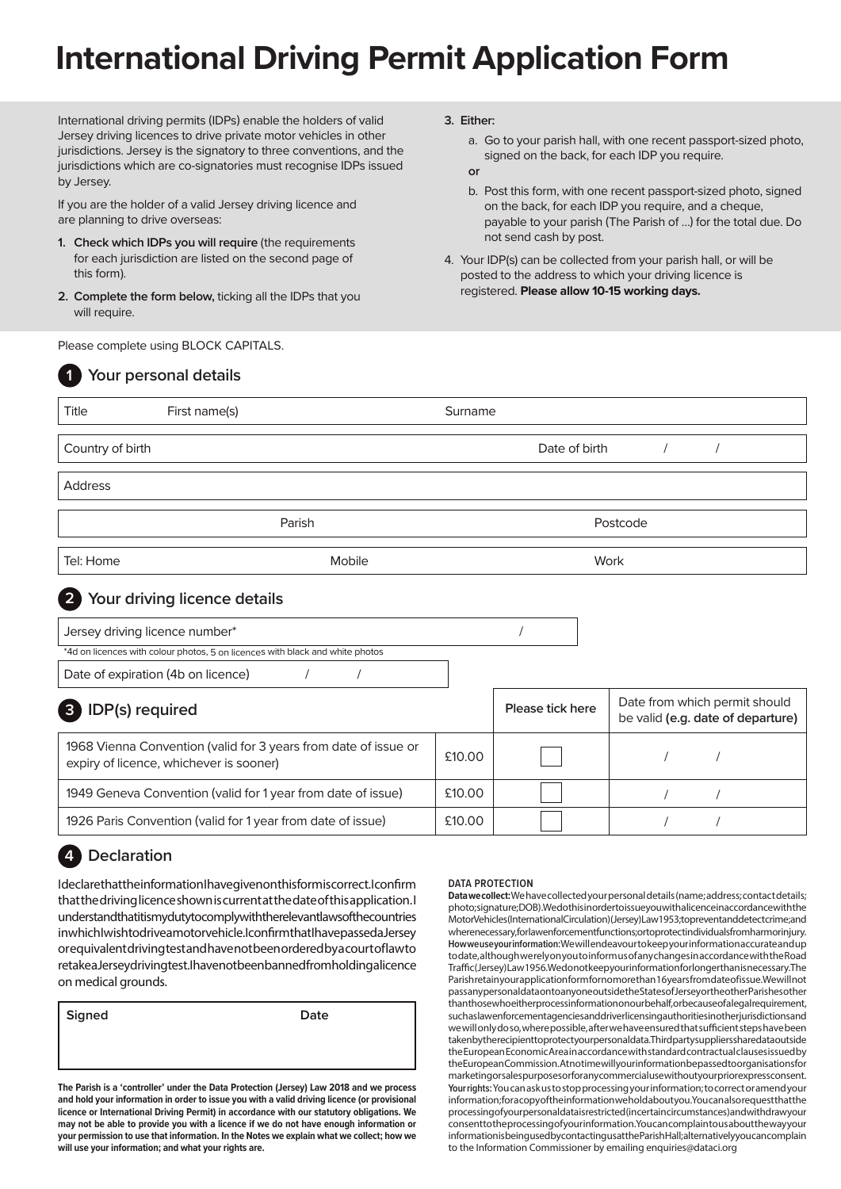# **International Driving Permit Application Form**

International driving permits (IDPs) enable the holders of valid Jersey driving licences to drive private motor vehicles in other jurisdictions. Jersey is the signatory to three conventions, and the jurisdictions which are co-signatories must recognise IDPs issued by Jersey.

If you are the holder of a valid Jersey driving licence and are planning to drive overseas:

- **1. Check which IDPs you will require** (the requirements for each jurisdiction are listed on the second page of this form).
- **2. Complete the form below,** ticking all the IDPs that you will require.

Please complete using BLOCK CAPITALS.

#### **3. Either:**

a. Go to your parish hall, with one recent passport-sized photo, signed on the back, for each IDP you require.

#### **or**

- b. Post this form, with one recent passport-sized photo, signed on the back, for each IDP you require, and a cheque, payable to your parish (The Parish of …) for the total due. Do not send cash by post.
- 4. Your IDP(s) can be collected from your parish hall, or will be posted to the address to which your driving licence is registered. **Please allow 10-15 working days.**

|                                 | Your personal details                                                                                      |         |                  |                                                                    |  |  |
|---------------------------------|------------------------------------------------------------------------------------------------------------|---------|------------------|--------------------------------------------------------------------|--|--|
| Title                           | First name(s)                                                                                              | Surname |                  |                                                                    |  |  |
| Country of birth                |                                                                                                            |         | Date of birth    |                                                                    |  |  |
| Address                         |                                                                                                            |         |                  |                                                                    |  |  |
| Parish                          |                                                                                                            |         | Postcode         |                                                                    |  |  |
| Tel: Home                       | Mobile                                                                                                     |         | Work             |                                                                    |  |  |
| $\overline{2}$                  | Your driving licence details                                                                               |         |                  |                                                                    |  |  |
|                                 | Jersey driving licence number*                                                                             |         |                  |                                                                    |  |  |
|                                 | *4d on licences with colour photos, 5 on licences with black and white photos                              |         |                  |                                                                    |  |  |
|                                 | Date of expiration (4b on licence)<br>$\sqrt{2}$<br>$\sqrt{2}$                                             |         |                  |                                                                    |  |  |
| IDP(s) required<br>$\mathbf{3}$ |                                                                                                            |         | Please tick here | Date from which permit should<br>be valid (e.g. date of departure) |  |  |
|                                 | 1968 Vienna Convention (valid for 3 years from date of issue or<br>expiry of licence, whichever is sooner) | £10.00  |                  |                                                                    |  |  |
|                                 | 1949 Geneva Convention (valid for 1 year from date of issue)                                               | £10.00  |                  |                                                                    |  |  |
|                                 | 1926 Paris Convention (valid for 1 year from date of issue)                                                | £10.00  |                  |                                                                    |  |  |

## **4 Declaration**

I declare that the information I have given on this form is correct. I confirm that the driving licence shown is current at the date of this application. I understand that it is my duty to comply with the relevant laws of the countries in which I wish to drive a motor vehicle. I confirm that I have passed a Jersey or equivalent driving test and have not been ordered by a court of law to retake a Jersey driving test. I have not been banned from holding a licence on medical grounds.

**Signed Date**

**The Parish is a 'controller' under the Data Protection (Jersey) Law 2018 and we process and hold your information in order to issue you with a valid driving licence (or provisional licence or International Driving Permit) in accordance with our statutory obligations. We may not be able to provide you with a licence if we do not have enough information or your permission to use that information. In the Notes we explain what we collect; how we will use your information; and what your rights are.**

#### **DATA PROTECTION**

**Data we collect:** We have collected your personal details (name; address; contact details; photo; signature; DOB). We do this in order to issue you with a licence in accordance with the Motor Vehicles (International Circulation) (Jersey) Law 1953; to prevent and detect crime; and wherenecessary, for law enforcement functions; or to protect individuals from harm or injury. **How we use your information:** We will endeavour to keep your information accurate and up to date, although we rely on you to inform us of any changes in accordance with the Road Traffic (Jersey) Law 1956. We do not keep your information for longer than is necessary. The Parish retain your application form for no more than 16 years from date of issue. We will not pass any personal data on to anyone outside the States of Jersey or the other Parishes other than those who either process information on our behalf, or because of a legal requirement, such as law enforcement agencies and driver licensing authorities in other jurisdictions and we will only do so, where possible, after we have ensured that sufficient steps have been taken by the recipient to protect your personal data. Third party suppliers shared at a outside the European Economic Area in accordance with standard contractual clauses issued by the European Commission. At no time will your information be passed to organisations for marketing or sales purposes or for any commercial use without your prior express consent. **Your rights:** You can ask us to stop processing your information; to correct or amend your information; for a copy of the information we hold about you. You can also request that the processing of your personal data is restricted (in certain circumstances) and withdraw your consent to the processing of your information. You can complain to us about the way your information is being used by contacting us at the Parish Hall; alternatively you can complain to the Information Commissioner by emailing enquiries@dataci.org